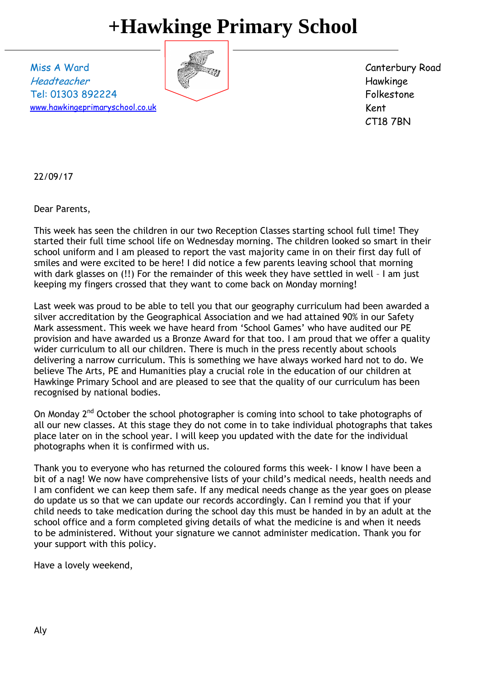## **+Hawkinge Primary School**

Miss A Ward Headteacher Tel: 01303 892224 [www.hawkingeprimaryschool.co.uk](http://www.hawkingeprimaryschool.co.uk/)



Canterbury Road Hawkinge Folkestone Kent CT18 7BN

22/09/17

Dear Parents,

This week has seen the children in our two Reception Classes starting school full time! They started their full time school life on Wednesday morning. The children looked so smart in their school uniform and I am pleased to report the vast majority came in on their first day full of smiles and were excited to be here! I did notice a few parents leaving school that morning with dark glasses on (!!) For the remainder of this week they have settled in well - I am just keeping my fingers crossed that they want to come back on Monday morning!

Last week was proud to be able to tell you that our geography curriculum had been awarded a silver accreditation by the Geographical Association and we had attained 90% in our Safety Mark assessment. This week we have heard from 'School Games' who have audited our PE provision and have awarded us a Bronze Award for that too. I am proud that we offer a quality wider curriculum to all our children. There is much in the press recently about schools delivering a narrow curriculum. This is something we have always worked hard not to do. We believe The Arts, PE and Humanities play a crucial role in the education of our children at Hawkinge Primary School and are pleased to see that the quality of our curriculum has been recognised by national bodies.

On Monday  $2<sup>nd</sup>$  October the school photographer is coming into school to take photographs of all our new classes. At this stage they do not come in to take individual photographs that takes place later on in the school year. I will keep you updated with the date for the individual photographs when it is confirmed with us.

Thank you to everyone who has returned the coloured forms this week- I know I have been a bit of a nag! We now have comprehensive lists of your child's medical needs, health needs and I am confident we can keep them safe. If any medical needs change as the year goes on please do update us so that we can update our records accordingly. Can I remind you that if your child needs to take medication during the school day this must be handed in by an adult at the school office and a form completed giving details of what the medicine is and when it needs to be administered. Without your signature we cannot administer medication. Thank you for your support with this policy.

Have a lovely weekend,